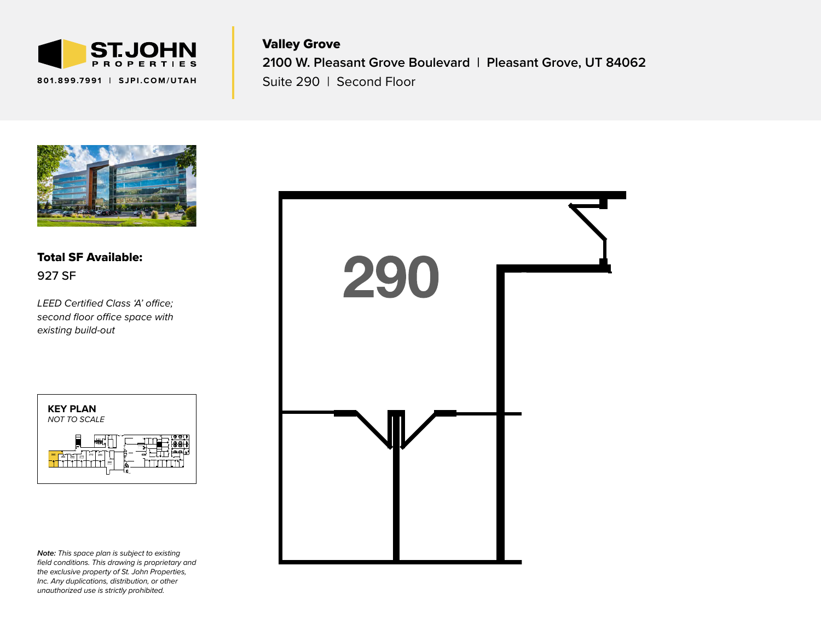

Valley Grove **2100 W. Pleasant Grove Boulevard | Pleasant Grove, UT 84062** Suite 290 | Second Floor



Total SF Available: 927 SF

*LEED Certified Class 'A' office; second floor office space with existing build-out*



*Note: This space plan is subject to existing field conditions. This drawing is proprietary and the exclusive property of St. John Properties, Inc. Any duplications, distribution, or other unauthorized use is strictly prohibited.*

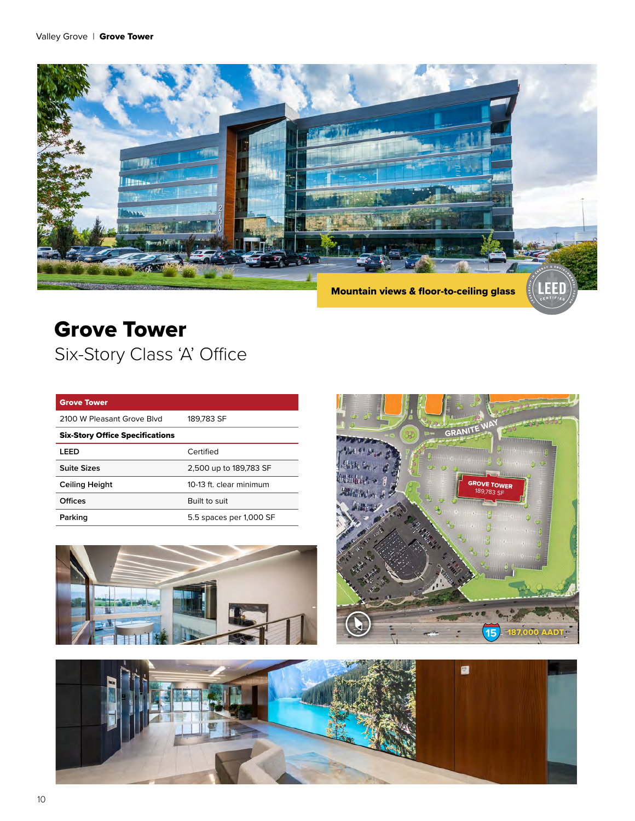

# Grove Tower Six-Story Class 'A' Office

| <b>Grove Tower</b>                     |                         |
|----------------------------------------|-------------------------|
| 2100 W Pleasant Grove Blyd             | 189.783 SF              |
| <b>Six-Story Office Specifications</b> |                         |
| LEED                                   | Certified               |
| Suite Sizes                            | 2,500 up to 189,783 SF  |
| Ceiling Height                         | 10-13 ft. clear minimum |
| Offices                                | Built to suit           |
| Parking                                | 5.5 spaces per 1,000 SF |